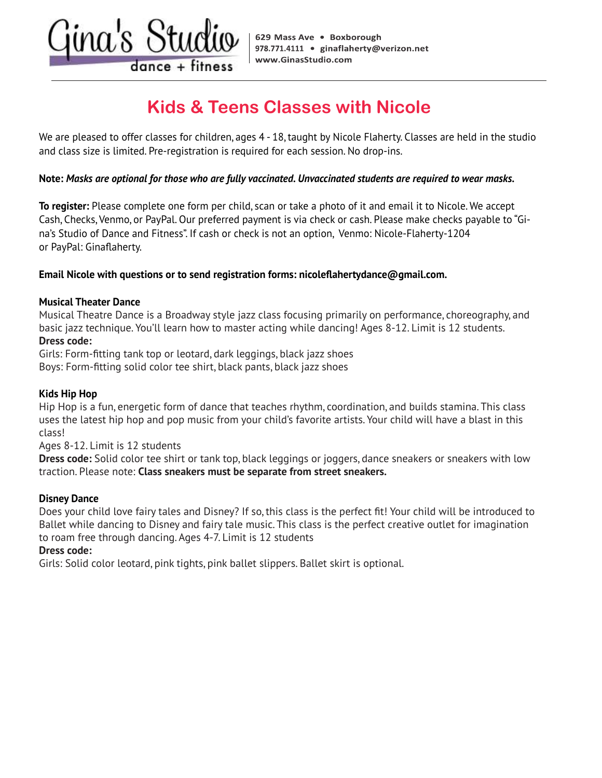$dance + fitness$ 

# **Kids & Teens Classes with Nicole**

We are pleased to offer classes for children, ages 4 - 18, taught by Nicole Flaherty. Classes are held in the studio no the presence of the classes for since engaged. They dropp in server clanery.<br>and class size is limited. Pre-registration is required for each session. No drop-ins.

# Note: Masks are optional for those who are fully vaccinated. Unvaccinated students are required to wear masks.

To register: Please complete one form per child, scan or take a photo of it and email it to Nicole. We accept Cash, Checks, Venmo, or PayPal. Our preferred payment is via check or cash. Please make checks payable to "Gina's Studio of Dance and Fitness". If cash or check is not an option, Venmo: Nicole-Flaherty-1204 or PayPal: Ginaflaherty.

#### $\mathcal{L}$  is discussed any medical problems, current or historical, and are taking any medications,  $\mathcal{L}$  and  $\mathcal{L}$ Email Nicole with questions or to send registration forms: nicoleflahertydance@gmail.com.

#### disease, stroke, pregnancy, EPI pen, or any other medication that may affect your heart rate). **Musical Theater Dance**

 $\mathbf{u}_\mathbf{u}$  and  $\mathbf{u}_\mathbf{u}$  and  $\mathbf{u}_\mathbf{u}$  and  $\mathbf{u}_\mathbf{u}$  and  $\mathbf{u}_\mathbf{u}$  and  $\mathbf{u}_\mathbf{u}$  and  $\mathbf{u}_\mathbf{u}$  and  $\mathbf{u}_\mathbf{u}$  and  $\mathbf{u}_\mathbf{u}$  and  $\mathbf{u}_\mathbf{u}$  and  $\mathbf{u}_\mathbf{u}$  and  $\mathbf{u}_\mathbf{u$ Musical Theatre Dance is a Broadway style jazz class focusing primarily on performance, choreography, and **Dress code:** basic jazz technique. You'll learn how to master acting while dancing! Ages 8-12. Limit is 12 students.

Girls: Form-fitting tank top or leotard, dark leggings, black jazz shoes Boys: Form-fitting solid color tee shirt, black pants, black jazz shoes

# Fitness also assumes no responsibility of negligence connected with the use of our instruction or services. **Kids Hip Hop**

 $\frac{1}{2}$  can flat at high bon and non-music from your child's fouerito artists. Your child will boye a blast in this uses the latest hip hop and pop music from your child's favorite artists. Your child will have a blast in this<br>class! physical acts and may result in injury or in extreme cases death. Please consult your physician prior to undertaking any new exercise program Hip Hop is a fun, energetic form of dance that teaches rhythm, coordination, and builds stamina. This class class!

Ages 8-12. Limit is 12 students

 $\frac{1}{2}$  hereby activity. By signing and accept the risks related to the programs I have registered for  $\frac{1}{2}$ **Dress code:** Solid color tee shirt or tank top, black leggings or joggers, dance sneakers or sneakers with low traction. Please note: Class sneakers must be separate from street sneakers.

# contractors, representatives, congregation, council, successors and assigns (hereinafter collectively refer to as the "Releasees") and release, **Disney Dance**

Does your child love fairy tales and Disney? If so, this class is the perfect fit! Your child will be introduced to Ballet while dancing to Disney and fairy tale music. This class is the perfect creative outlet for imagination to roam free through dancing. Ages 4-7. Limit is 12 students association with Gina Flaherty distribution with Gina Flaherty distribution for Dance and Fitness or the use o<br>Fitness or do:

## **Dress code:**

premises owned, leased or operated by Gina Flaherty d/b/a Zumba with Gina and d/b/a Gina's Studio for Dance and Fitness or for the time Girls: Solid color leotard, pink tights, pink ballet slippers. Ballet skirt is optional.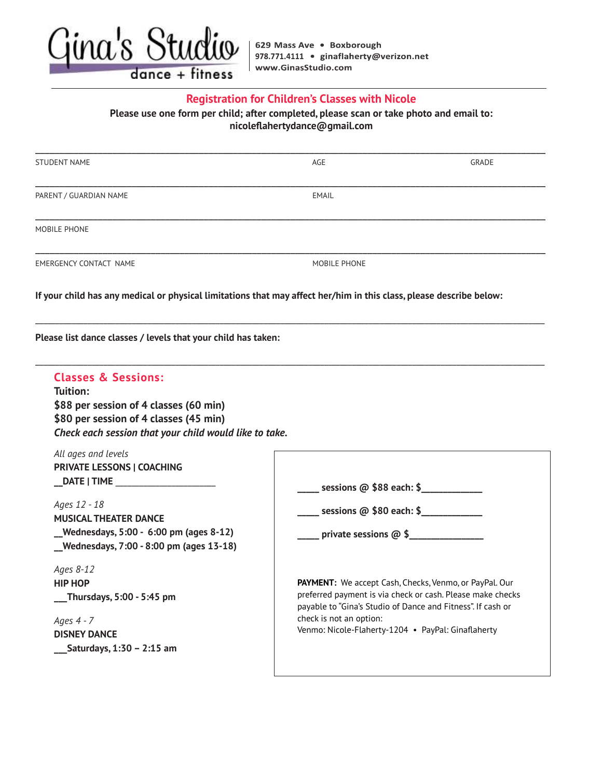

### **Registration for Children's Classes with Nicole**

Please use one form per child; after completed, please scan or take photo and email to: **nicoleflahertydance@gmail.com** 

| <b>STUDENT NAME</b>                                                                                                                                   | AGE                                                             | GRADE |
|-------------------------------------------------------------------------------------------------------------------------------------------------------|-----------------------------------------------------------------|-------|
| PARENT / GUARDIAN NAME                                                                                                                                | <b>EMAIL</b>                                                    |       |
| MOBILE PHONE                                                                                                                                          |                                                                 |       |
| <b>EMERGENCY CONTACT NAME</b>                                                                                                                         | MOBILE PHONE                                                    |       |
| If your child has any medical or physical limitations that may affect her/him in this class, please describe below:                                   |                                                                 |       |
| Please list dance classes / levels that your child has taken:                                                                                         |                                                                 |       |
| <b>Classes &amp; Sessions:</b><br>Tuition:<br>\$88 per session of 4 classes (60 min)                                                                  |                                                                 |       |
| \$80 per session of 4 classes (45 min)<br>Check each session that your child would like to take.<br>All ages and levels<br>PRIVATE LESSONS   COACHING |                                                                 |       |
| Ages 12 - 18                                                                                                                                          | $\frac{1}{2}$ sessions @ \$88 each: \$                          |       |
| <b>MUSICAL THEATER DANCE</b><br>_Wednesdays, 5:00 - 6:00 pm (ages 8-12)<br>Wednesdays, 7:00 - 8:00 pm (ages 13-18)                                    | $\frac{1}{2}$ sessions @ \$80 each: \$<br>private sessions @ \$ |       |